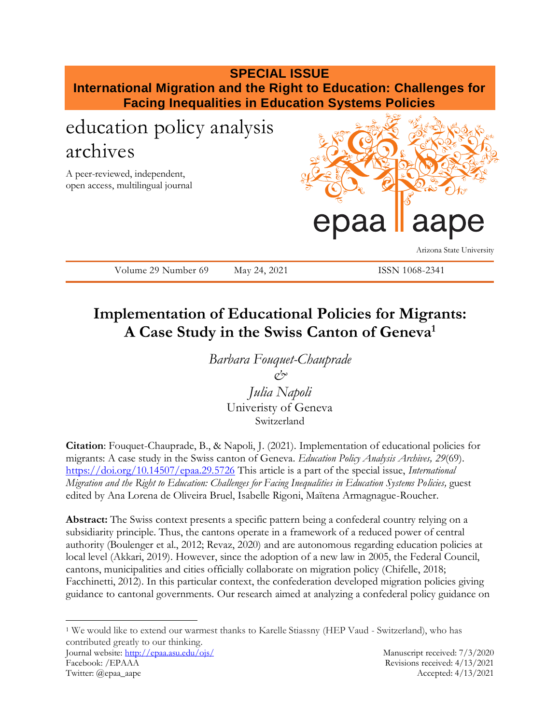

## **Implementation of Educational Policies for Migrants: A Case Study in the Swiss Canton of Geneva<sup>1</sup>**

*Barbara Fouquet-Chauprade & Julia Napoli*

Univeristy of Geneva Switzerland

**Citation**: Fouquet-Chauprade, B., & Napoli, J. (2021). Implementation of educational policies for migrants: A case study in the Swiss canton of Geneva. *Education Policy Analysis Archives, 29*(69). <https://doi.org/10.14507/epaa.29.5726> This article is a part of the special issue, *International Migration and the Right to Education: Challenges for Facing Inequalities in Education Systems Policies*, guest edited by Ana Lorena de Oliveira Bruel, Isabelle Rigoni, Maïtena Armagnague-Roucher.

**Abstract:** The Swiss context presents a specific pattern being a confederal country relying on a subsidiarity principle. Thus, the cantons operate in a framework of a reduced power of central authority (Boulenger et al., 2012; Revaz, 2020) and are autonomous regarding education policies at local level (Akkari, 2019). However, since the adoption of a new law in 2005, the Federal Council, cantons, municipalities and cities officially collaborate on migration policy (Chifelle, 2018; Facchinetti, 2012). In this particular context, the confederation developed migration policies giving guidance to cantonal governments. Our research aimed at analyzing a confederal policy guidance on

 $\overline{a}$ <sup>1</sup> We would like to extend our warmest thanks to Karelle Stiassny (HEP Vaud - Switzerland), who has contributed greatly to our thinking.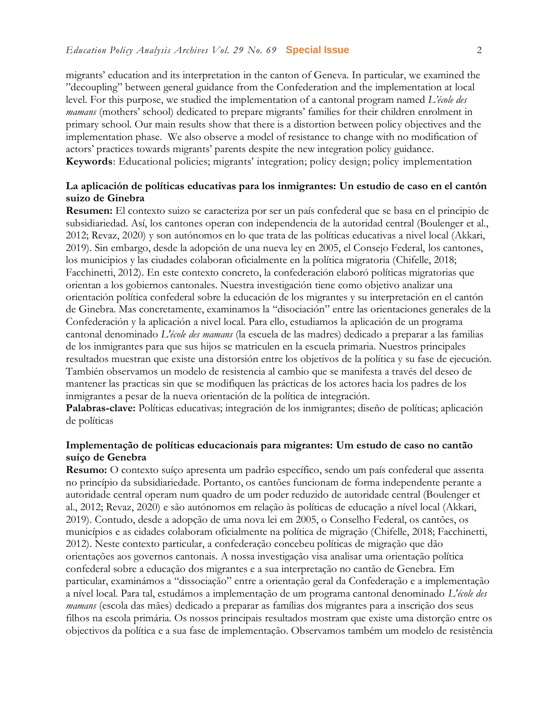migrants' education and its interpretation in the canton of Geneva. In particular, we examined the "decoupling" between general guidance from the Confederation and the implementation at local level. For this purpose, we studied the implementation of a cantonal program named *L'école des mamans* (mothers' school) dedicated to prepare migrants' families for their children enrolment in primary school. Our main results show that there is a distortion between policy objectives and the implementation phase. We also observe a model of resistance to change with no modification of actors' practices towards migrants' parents despite the new integration policy guidance. **Keywords**: Educational policies; migrants' integration; policy design; policy implementation

#### **La aplicación de políticas educativas para los inmigrantes: Un estudio de caso en el cantón suizo de Ginebra**

**Resumen:** El contexto suizo se caracteriza por ser un país confederal que se basa en el principio de subsidiariedad. Así, los cantones operan con independencia de la autoridad central (Boulenger et al., 2012; Revaz, 2020) y son autónomos en lo que trata de las políticas educativas a nivel local (Akkari, 2019). Sin embargo, desde la adopción de una nueva ley en 2005, el Consejo Federal, los cantones, los municipios y las ciudades colaboran oficialmente en la política migratoria (Chifelle, 2018; Facchinetti, 2012). En este contexto concreto, la confederación elaboró políticas migratorias que orientan a los gobiernos cantonales. Nuestra investigación tiene como objetivo analizar una orientación política confederal sobre la educación de los migrantes y su interpretación en el cantón de Ginebra. Mas concretamente, examinamos la "disociación" entre las orientaciones generales de la Confederación y la aplicación a nivel local. Para ello, estudiamos la aplicación de un programa cantonal denominado *L'école des mamans* (la escuela de las madres) dedicado a preparar a las familias de los inmigrantes para que sus hijos se matriculen en la escuela primaria. Nuestros principales resultados muestran que existe una distorsión entre los objetivos de la política y su fase de ejecución. También observamos un modelo de resistencia al cambio que se manifesta a través del deseo de mantener las practicas sin que se modifiquen las prácticas de los actores hacia los padres de los inmigrantes a pesar de la nueva orientación de la política de integración.

**Palabras-clave:** Políticas educativas; integración de los inmigrantes; diseño de políticas; aplicación de políticas

#### **Implementação de políticas educacionais para migrantes: Um estudo de caso no cantão suíço de Genebra**

**Resumo:** O contexto suíço apresenta um padrão específico, sendo um país confederal que assenta no princípio da subsidiariedade. Portanto, os cantões funcionam de forma independente perante a autoridade central operam num quadro de um poder reduzido de autoridade central (Boulenger et al., 2012; Revaz, 2020) e são autónomos em relação às políticas de educação a nível local (Akkari, 2019). Contudo, desde a adopção de uma nova lei em 2005, o Conselho Federal, os cantões, os municípios e as cidades colaboram oficialmente na política de migração (Chifelle, 2018; Facchinetti, 2012). Neste contexto particular, a confederação concebeu políticas de migração que dão orientações aos governos cantonais. A nossa investigação visa analisar uma orientação política confederal sobre a educação dos migrantes e a sua interpretação no cantão de Genebra. Em particular, examinámos a "dissociação" entre a orientação geral da Confederação e a implementação a nível local. Para tal, estudámos a implementação de um programa cantonal denominado *L'école des mamans* (escola das mães) dedicado a preparar as famílias dos migrantes para a inscrição dos seus filhos na escola primária. Os nossos principais resultados mostram que existe uma distorção entre os objectivos da política e a sua fase de implementação. Observamos também um modelo de resistência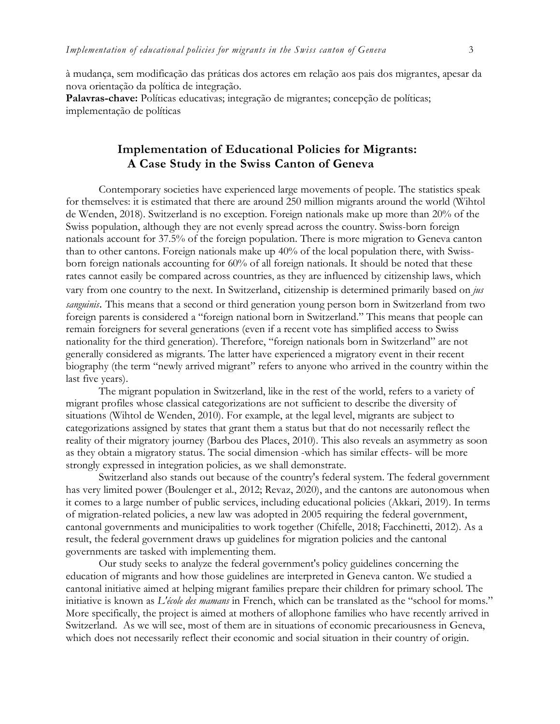à mudança, sem modificação das práticas dos actores em relação aos pais dos migrantes, apesar da nova orientação da política de integração.

**Palavras-chave:** Políticas educativas; integração de migrantes; concepção de políticas; implementação de políticas

## **Implementation of Educational Policies for Migrants: A Case Study in the Swiss Canton of Geneva**

Contemporary societies have experienced large movements of people. The statistics speak for themselves: it is estimated that there are around 250 million migrants around the world (Wihtol de Wenden, 2018). Switzerland is no exception. Foreign nationals make up more than 20% of the Swiss population, although they are not evenly spread across the country. Swiss-born foreign nationals account for 37.5% of the foreign population. There is more migration to Geneva canton than to other cantons. Foreign nationals make up 40% of the local population there, with Swissborn foreign nationals accounting for 60% of all foreign nationals. It should be noted that these rates cannot easily be compared across countries, as they are influenced by citizenship laws, which vary from one country to the next. In Switzerland, citizenship is determined primarily based on *jus sanguinis*. This means that a second or third generation young person born in Switzerland from two foreign parents is considered a "foreign national born in Switzerland." This means that people can remain foreigners for several generations (even if a recent vote has simplified access to Swiss nationality for the third generation). Therefore, "foreign nationals born in Switzerland" are not generally considered as migrants. The latter have experienced a migratory event in their recent biography (the term "newly arrived migrant" refers to anyone who arrived in the country within the last five years).

The migrant population in Switzerland, like in the rest of the world, refers to a variety of migrant profiles whose classical categorizations are not sufficient to describe the diversity of situations (Wihtol de Wenden, 2010). For example, at the legal level, migrants are subject to categorizations assigned by states that grant them a status but that do not necessarily reflect the reality of their migratory journey (Barbou des Places, 2010). This also reveals an asymmetry as soon as they obtain a migratory status. The social dimension -which has similar effects- will be more strongly expressed in integration policies, as we shall demonstrate.

Switzerland also stands out because of the country's federal system. The federal government has very limited power (Boulenger et al., 2012; Revaz, 2020), and the cantons are autonomous when it comes to a large number of public services, including educational policies (Akkari, 2019). In terms of migration-related policies, a new law was adopted in 2005 requiring the federal government, cantonal governments and municipalities to work together (Chifelle, 2018; Facchinetti, 2012). As a result, the federal government draws up guidelines for migration policies and the cantonal governments are tasked with implementing them.

Our study seeks to analyze the federal government's policy guidelines concerning the education of migrants and how those guidelines are interpreted in Geneva canton. We studied a cantonal initiative aimed at helping migrant families prepare their children for primary school. The initiative is known as *L'école des mamans* in French, which can be translated as the "school for moms." More specifically, the project is aimed at mothers of allophone families who have recently arrived in Switzerland. As we will see, most of them are in situations of economic precariousness in Geneva, which does not necessarily reflect their economic and social situation in their country of origin.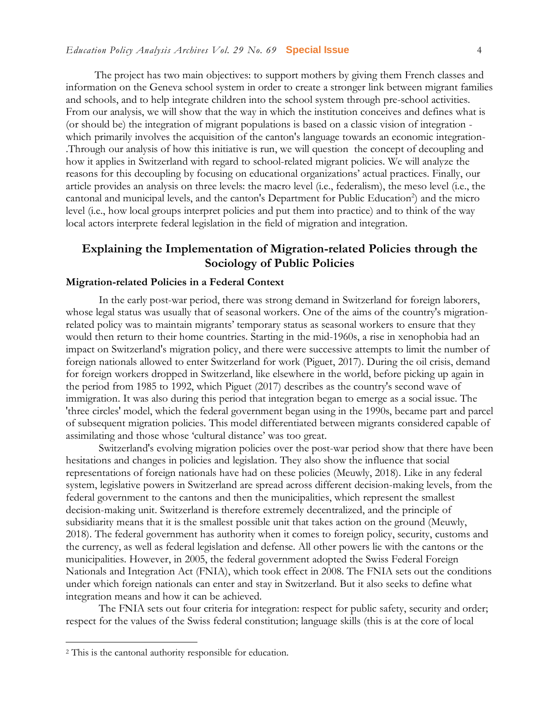The project has two main objectives: to support mothers by giving them French classes and information on the Geneva school system in order to create a stronger link between migrant families and schools, and to help integrate children into the school system through pre-school activities. From our analysis, we will show that the way in which the institution conceives and defines what is (or should be) the integration of migrant populations is based on a classic vision of integration which primarily involves the acquisition of the canton's language towards an economic integration- .Through our analysis of how this initiative is run, we will question the concept of decoupling and how it applies in Switzerland with regard to school-related migrant policies. We will analyze the reasons for this decoupling by focusing on educational organizations' actual practices. Finally, our article provides an analysis on three levels: the macro level (i.e., federalism), the meso level (i.e., the cantonal and municipal levels, and the canton's Department for Public Education<sup>2</sup>) and the micro level (i.e., how local groups interpret policies and put them into practice) and to think of the way local actors interprete federal legislation in the field of migration and integration.

### **Explaining the Implementation of Migration-related Policies through the Sociology of Public Policies**

#### **Migration-related Policies in a Federal Context**

In the early post-war period, there was strong demand in Switzerland for foreign laborers, whose legal status was usually that of seasonal workers. One of the aims of the country's migrationrelated policy was to maintain migrants' temporary status as seasonal workers to ensure that they would then return to their home countries. Starting in the mid-1960s, a rise in xenophobia had an impact on Switzerland's migration policy, and there were successive attempts to limit the number of foreign nationals allowed to enter Switzerland for work (Piguet, 2017). During the oil crisis, demand for foreign workers dropped in Switzerland, like elsewhere in the world, before picking up again in the period from 1985 to 1992, which Piguet (2017) describes as the country's second wave of immigration. It was also during this period that integration began to emerge as a social issue. The 'three circles' model, which the federal government began using in the 1990s, became part and parcel of subsequent migration policies. This model differentiated between migrants considered capable of assimilating and those whose 'cultural distance' was too great.

Switzerland's evolving migration policies over the post-war period show that there have been hesitations and changes in policies and legislation. They also show the influence that social representations of foreign nationals have had on these policies (Meuwly, 2018). Like in any federal system, legislative powers in Switzerland are spread across different decision-making levels, from the federal government to the cantons and then the municipalities, which represent the smallest decision-making unit. Switzerland is therefore extremely decentralized, and the principle of subsidiarity means that it is the smallest possible unit that takes action on the ground (Meuwly, 2018). The federal government has authority when it comes to foreign policy, security, customs and the currency, as well as federal legislation and defense. All other powers lie with the cantons or the municipalities. However, in 2005, the federal government adopted the Swiss Federal Foreign Nationals and Integration Act (FNIA), which took effect in 2008. The FNIA sets out the conditions under which foreign nationals can enter and stay in Switzerland. But it also seeks to define what integration means and how it can be achieved.

The FNIA sets out four criteria for integration: respect for public safety, security and order; respect for the values of the Swiss federal constitution; language skills (this is at the core of local

<sup>2</sup> This is the cantonal authority responsible for education.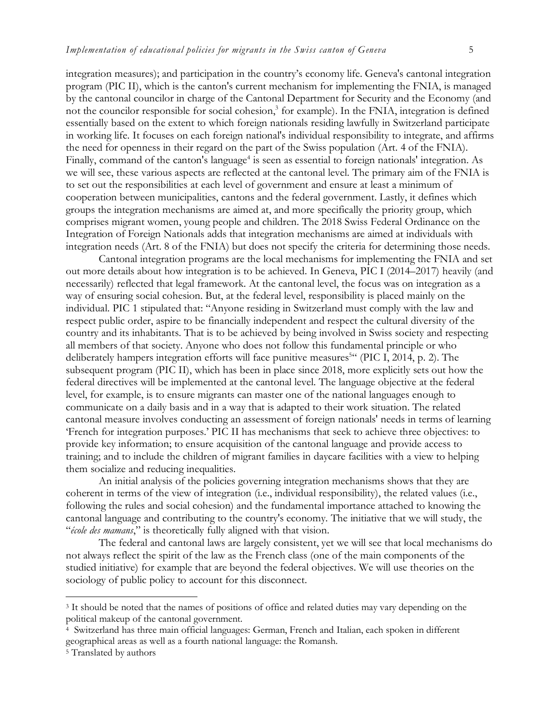integration measures); and participation in the country's economy life. Geneva's cantonal integration program (PIC II), which is the canton's current mechanism for implementing the FNIA, is managed by the cantonal councilor in charge of the Cantonal Department for Security and the Economy (and not the councilor responsible for social cohesion,<sup>3</sup> for example). In the FNIA, integration is defined essentially based on the extent to which foreign nationals residing lawfully in Switzerland participate in working life. It focuses on each foreign national's individual responsibility to integrate, and affirms the need for openness in their regard on the part of the Swiss population (Art. 4 of the FNIA). Finally, command of the canton's language<sup>4</sup> is seen as essential to foreign nationals' integration. As we will see, these various aspects are reflected at the cantonal level. The primary aim of the FNIA is to set out the responsibilities at each level of government and ensure at least a minimum of cooperation between municipalities, cantons and the federal government. Lastly, it defines which groups the integration mechanisms are aimed at, and more specifically the priority group, which comprises migrant women, young people and children. The 2018 Swiss Federal Ordinance on the Integration of Foreign Nationals adds that integration mechanisms are aimed at individuals with integration needs (Art. 8 of the FNIA) but does not specify the criteria for determining those needs.

Cantonal integration programs are the local mechanisms for implementing the FNIA and set out more details about how integration is to be achieved. In Geneva, PIC I (2014–2017) heavily (and necessarily) reflected that legal framework. At the cantonal level, the focus was on integration as a way of ensuring social cohesion. But, at the federal level, responsibility is placed mainly on the individual. PIC 1 stipulated that: "Anyone residing in Switzerland must comply with the law and respect public order, aspire to be financially independent and respect the cultural diversity of the country and its inhabitants. That is to be achieved by being involved in Swiss society and respecting all members of that society. Anyone who does not follow this fundamental principle or who deliberately hampers integration efforts will face punitive measures<sup>544</sup> (PIC I, 2014, p. 2). The subsequent program (PIC II), which has been in place since 2018, more explicitly sets out how the federal directives will be implemented at the cantonal level. The language objective at the federal level, for example, is to ensure migrants can master one of the national languages enough to communicate on a daily basis and in a way that is adapted to their work situation. The related cantonal measure involves conducting an assessment of foreign nationals' needs in terms of learning 'French for integration purposes.' PIC II has mechanisms that seek to achieve three objectives: to provide key information; to ensure acquisition of the cantonal language and provide access to training; and to include the children of migrant families in daycare facilities with a view to helping them socialize and reducing inequalities.

An initial analysis of the policies governing integration mechanisms shows that they are coherent in terms of the view of integration (i.e., individual responsibility), the related values (i.e., following the rules and social cohesion) and the fundamental importance attached to knowing the cantonal language and contributing to the country's economy. The initiative that we will study, the "*école des mamans*," is theoretically fully aligned with that vision.

The federal and cantonal laws are largely consistent, yet we will see that local mechanisms do not always reflect the spirit of the law as the French class (one of the main components of the studied initiative) for example that are beyond the federal objectives. We will use theories on the sociology of public policy to account for this disconnect.

<sup>3</sup> It should be noted that the names of positions of office and related duties may vary depending on the political makeup of the cantonal government.

<sup>4</sup> Switzerland has three main official languages: German, French and Italian, each spoken in different geographical areas as well as a fourth national language: the Romansh.

<sup>5</sup> Translated by authors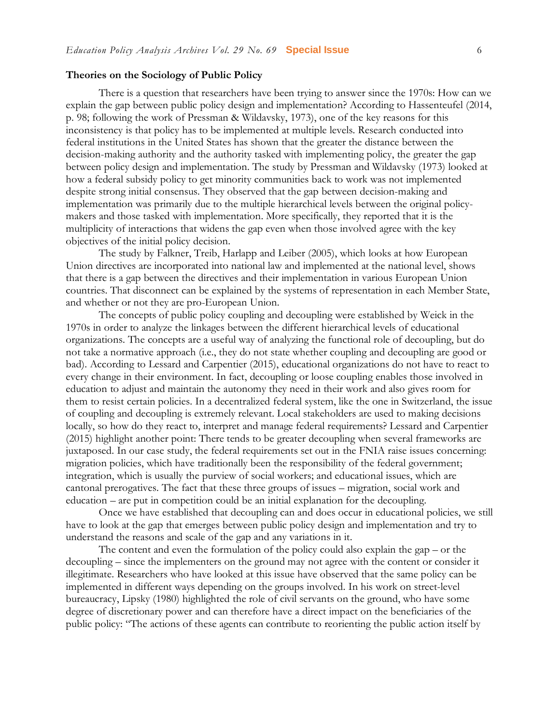#### **Theories on the Sociology of Public Policy**

There is a question that researchers have been trying to answer since the 1970s: How can we explain the gap between public policy design and implementation? According to Hassenteufel (2014, p. 98; following the work of Pressman & Wildavsky, 1973), one of the key reasons for this inconsistency is that policy has to be implemented at multiple levels. Research conducted into federal institutions in the United States has shown that the greater the distance between the decision-making authority and the authority tasked with implementing policy, the greater the gap between policy design and implementation. The study by Pressman and Wildavsky (1973) looked at how a federal subsidy policy to get minority communities back to work was not implemented despite strong initial consensus. They observed that the gap between decision-making and implementation was primarily due to the multiple hierarchical levels between the original policymakers and those tasked with implementation. More specifically, they reported that it is the multiplicity of interactions that widens the gap even when those involved agree with the key objectives of the initial policy decision.

The study by Falkner, Treib, Harlapp and Leiber (2005), which looks at how European Union directives are incorporated into national law and implemented at the national level, shows that there is a gap between the directives and their implementation in various European Union countries. That disconnect can be explained by the systems of representation in each Member State, and whether or not they are pro-European Union.

The concepts of public policy coupling and decoupling were established by Weick in the 1970s in order to analyze the linkages between the different hierarchical levels of educational organizations. The concepts are a useful way of analyzing the functional role of decoupling, but do not take a normative approach (i.e., they do not state whether coupling and decoupling are good or bad). According to Lessard and Carpentier (2015), educational organizations do not have to react to every change in their environment. In fact, decoupling or loose coupling enables those involved in education to adjust and maintain the autonomy they need in their work and also gives room for them to resist certain policies. In a decentralized federal system, like the one in Switzerland, the issue of coupling and decoupling is extremely relevant. Local stakeholders are used to making decisions locally, so how do they react to, interpret and manage federal requirements? Lessard and Carpentier (2015) highlight another point: There tends to be greater decoupling when several frameworks are juxtaposed. In our case study, the federal requirements set out in the FNIA raise issues concerning: migration policies, which have traditionally been the responsibility of the federal government; integration, which is usually the purview of social workers; and educational issues, which are cantonal prerogatives. The fact that these three groups of issues – migration, social work and education – are put in competition could be an initial explanation for the decoupling.

Once we have established that decoupling can and does occur in educational policies, we still have to look at the gap that emerges between public policy design and implementation and try to understand the reasons and scale of the gap and any variations in it.

The content and even the formulation of the policy could also explain the gap – or the decoupling – since the implementers on the ground may not agree with the content or consider it illegitimate. Researchers who have looked at this issue have observed that the same policy can be implemented in different ways depending on the groups involved. In his work on street-level bureaucracy, Lipsky (1980) highlighted the role of civil servants on the ground, who have some degree of discretionary power and can therefore have a direct impact on the beneficiaries of the public policy: "The actions of these agents can contribute to reorienting the public action itself by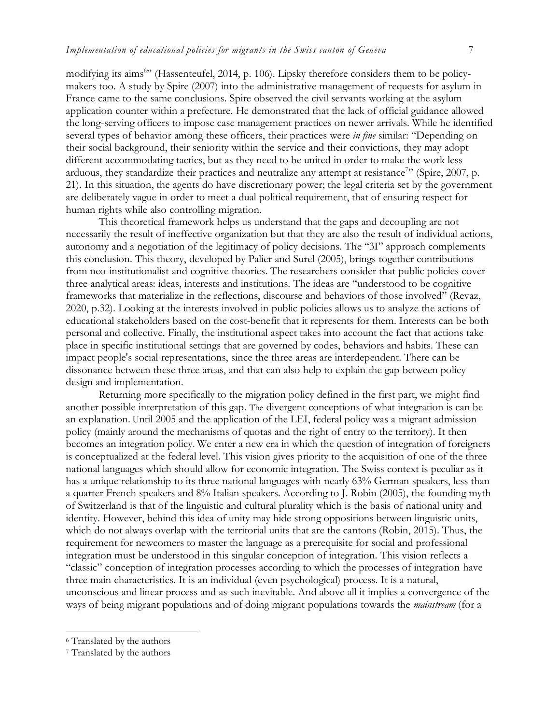modifying its aims<sup>6</sup>" (Hassenteufel, 2014, p. 106). Lipsky therefore considers them to be policymakers too. A study by Spire (2007) into the administrative management of requests for asylum in France came to the same conclusions. Spire observed the civil servants working at the asylum application counter within a prefecture. He demonstrated that the lack of official guidance allowed the long-serving officers to impose case management practices on newer arrivals. While he identified several types of behavior among these officers, their practices were *in fine* similar: "Depending on their social background, their seniority within the service and their convictions, they may adopt different accommodating tactics, but as they need to be united in order to make the work less arduous, they standardize their practices and neutralize any attempt at resistance<sup>7</sup>" (Spire, 2007, p. 21). In this situation, the agents do have discretionary power; the legal criteria set by the government are deliberately vague in order to meet a dual political requirement, that of ensuring respect for human rights while also controlling migration.

This theoretical framework helps us understand that the gaps and decoupling are not necessarily the result of ineffective organization but that they are also the result of individual actions, autonomy and a negotiation of the legitimacy of policy decisions. The "3I" approach complements this conclusion. This theory, developed by Palier and Surel (2005), brings together contributions from neo-institutionalist and cognitive theories. The researchers consider that public policies cover three analytical areas: ideas, interests and institutions. The ideas are "understood to be cognitive frameworks that materialize in the reflections, discourse and behaviors of those involved" (Revaz, 2020, p.32). Looking at the interests involved in public policies allows us to analyze the actions of educational stakeholders based on the cost-benefit that it represents for them. Interests can be both personal and collective. Finally, the institutional aspect takes into account the fact that actions take place in specific institutional settings that are governed by codes, behaviors and habits. These can impact people's social representations, since the three areas are interdependent. There can be dissonance between these three areas, and that can also help to explain the gap between policy design and implementation.

Returning more specifically to the migration policy defined in the first part, we might find another possible interpretation of this gap. The divergent conceptions of what integration is can be an explanation. Until 2005 and the application of the LEI, federal policy was a migrant admission policy (mainly around the mechanisms of quotas and the right of entry to the territory). It then becomes an integration policy. We enter a new era in which the question of integration of foreigners is conceptualized at the federal level. This vision gives priority to the acquisition of one of the three national languages which should allow for economic integration. The Swiss context is peculiar as it has a unique relationship to its three national languages with nearly 63% German speakers, less than a quarter French speakers and 8% Italian speakers. According to J. Robin (2005), the founding myth of Switzerland is that of the linguistic and cultural plurality which is the basis of national unity and identity. However, behind this idea of unity may hide strong oppositions between linguistic units, which do not always overlap with the territorial units that are the cantons (Robin, 2015). Thus, the requirement for newcomers to master the language as a prerequisite for social and professional integration must be understood in this singular conception of integration. This vision reflects a "classic" conception of integration processes according to which the processes of integration have three main characteristics. It is an individual (even psychological) process. It is a natural, unconscious and linear process and as such inevitable. And above all it implies a convergence of the ways of being migrant populations and of doing migrant populations towards the *mainstream* (for a

l

<sup>6</sup> Translated by the authors

<sup>7</sup> Translated by the authors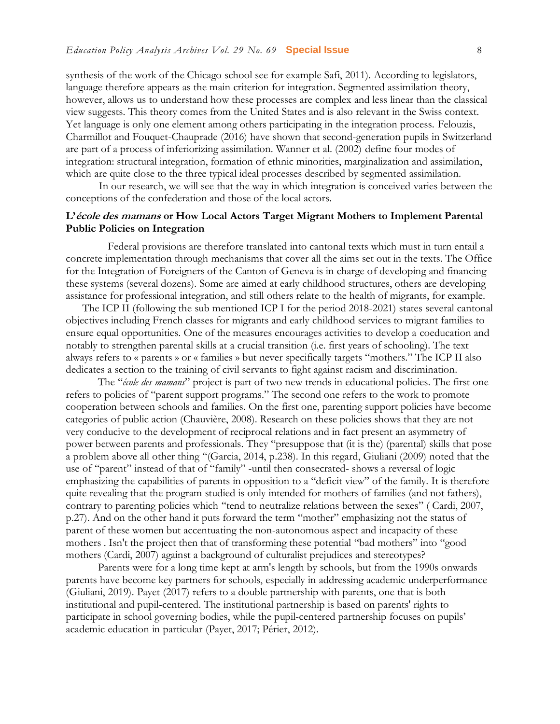synthesis of the work of the Chicago school see for example Safi, 2011). According to legislators, language therefore appears as the main criterion for integration. Segmented assimilation theory, however, allows us to understand how these processes are complex and less linear than the classical view suggests. This theory comes from the United States and is also relevant in the Swiss context. Yet language is only one element among others participating in the integration process. Felouzis, Charmillot and Fouquet-Chauprade (2016) have shown that second-generation pupils in Switzerland are part of a process of inferiorizing assimilation. Wanner et al. (2002) define four modes of integration: structural integration, formation of ethnic minorities, marginalization and assimilation, which are quite close to the three typical ideal processes described by segmented assimilation.

In our research, we will see that the way in which integration is conceived varies between the conceptions of the confederation and those of the local actors.

#### **L'école des mamans or How Local Actors Target Migrant Mothers to Implement Parental Public Policies on Integration**

Federal provisions are therefore translated into cantonal texts which must in turn entail a concrete implementation through mechanisms that cover all the aims set out in the texts. The Office for the Integration of Foreigners of the Canton of Geneva is in charge of developing and financing these systems (several dozens). Some are aimed at early childhood structures, others are developing assistance for professional integration, and still others relate to the health of migrants, for example.

The ICP II (following the sub mentioned ICP I for the period 2018-2021) states several cantonal objectives including French classes for migrants and early childhood services to migrant families to ensure equal opportunities. One of the measures encourages activities to develop a coeducation and notably to strengthen parental skills at a crucial transition (i.e. first years of schooling). The text always refers to « parents » or « families » but never specifically targets "mothers." The ICP II also dedicates a section to the training of civil servants to fight against racism and discrimination.

The "*école des mamans*" project is part of two new trends in educational policies. The first one refers to policies of "parent support programs." The second one refers to the work to promote cooperation between schools and families. On the first one, parenting support policies have become categories of public action (Chauvière, 2008). Research on these policies shows that they are not very conducive to the development of reciprocal relations and in fact present an asymmetry of power between parents and professionals. They "presuppose that (it is the) (parental) skills that pose a problem above all other thing "(Garcia, 2014, p.238). In this regard, Giuliani (2009) noted that the use of "parent" instead of that of "family" -until then consecrated- shows a reversal of logic emphasizing the capabilities of parents in opposition to a "deficit view" of the family. It is therefore quite revealing that the program studied is only intended for mothers of families (and not fathers), contrary to parenting policies which "tend to neutralize relations between the sexes" ( Cardi, 2007, p.27). And on the other hand it puts forward the term "mother" emphasizing not the status of parent of these women but accentuating the non-autonomous aspect and incapacity of these mothers . Isn't the project then that of transforming these potential "bad mothers" into "good mothers (Cardi, 2007) against a background of culturalist prejudices and stereotypes?

Parents were for a long time kept at arm's length by schools, but from the 1990s onwards parents have become key partners for schools, especially in addressing academic underperformance (Giuliani, 2019). Payet (2017) refers to a double partnership with parents, one that is both institutional and pupil-centered. The institutional partnership is based on parents' rights to participate in school governing bodies, while the pupil-centered partnership focuses on pupils' academic education in particular (Payet, 2017; Périer, 2012).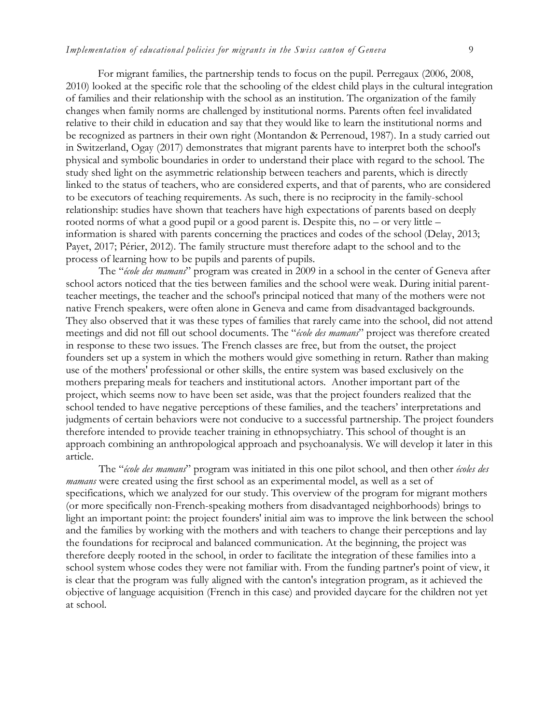For migrant families, the partnership tends to focus on the pupil. Perregaux (2006, 2008, 2010) looked at the specific role that the schooling of the eldest child plays in the cultural integration of families and their relationship with the school as an institution. The organization of the family changes when family norms are challenged by institutional norms. Parents often feel invalidated relative to their child in education and say that they would like to learn the institutional norms and be recognized as partners in their own right (Montandon & Perrenoud, 1987). In a study carried out in Switzerland, Ogay (2017) demonstrates that migrant parents have to interpret both the school's physical and symbolic boundaries in order to understand their place with regard to the school. The study shed light on the asymmetric relationship between teachers and parents, which is directly linked to the status of teachers, who are considered experts, and that of parents, who are considered to be executors of teaching requirements. As such, there is no reciprocity in the family-school relationship: studies have shown that teachers have high expectations of parents based on deeply rooted norms of what a good pupil or a good parent is. Despite this, no – or very little – information is shared with parents concerning the practices and codes of the school (Delay, 2013; Payet, 2017; Périer, 2012). The family structure must therefore adapt to the school and to the process of learning how to be pupils and parents of pupils.

The "*école des mamans*" program was created in 2009 in a school in the center of Geneva after school actors noticed that the ties between families and the school were weak. During initial parentteacher meetings, the teacher and the school's principal noticed that many of the mothers were not native French speakers, were often alone in Geneva and came from disadvantaged backgrounds. They also observed that it was these types of families that rarely came into the school, did not attend meetings and did not fill out school documents. The "*école des mamans*" project was therefore created in response to these two issues. The French classes are free, but from the outset, the project founders set up a system in which the mothers would give something in return. Rather than making use of the mothers' professional or other skills, the entire system was based exclusively on the mothers preparing meals for teachers and institutional actors. Another important part of the project, which seems now to have been set aside, was that the project founders realized that the school tended to have negative perceptions of these families, and the teachers' interpretations and judgments of certain behaviors were not conducive to a successful partnership. The project founders therefore intended to provide teacher training in ethnopsychiatry. This school of thought is an approach combining an anthropological approach and psychoanalysis. We will develop it later in this article.

The "*école des mamans*" program was initiated in this one pilot school, and then other *écoles des mamans* were created using the first school as an experimental model, as well as a set of specifications, which we analyzed for our study. This overview of the program for migrant mothers (or more specifically non-French-speaking mothers from disadvantaged neighborhoods) brings to light an important point: the project founders' initial aim was to improve the link between the school and the families by working with the mothers and with teachers to change their perceptions and lay the foundations for reciprocal and balanced communication. At the beginning, the project was therefore deeply rooted in the school, in order to facilitate the integration of these families into a school system whose codes they were not familiar with. From the funding partner's point of view, it is clear that the program was fully aligned with the canton's integration program, as it achieved the objective of language acquisition (French in this case) and provided daycare for the children not yet at school.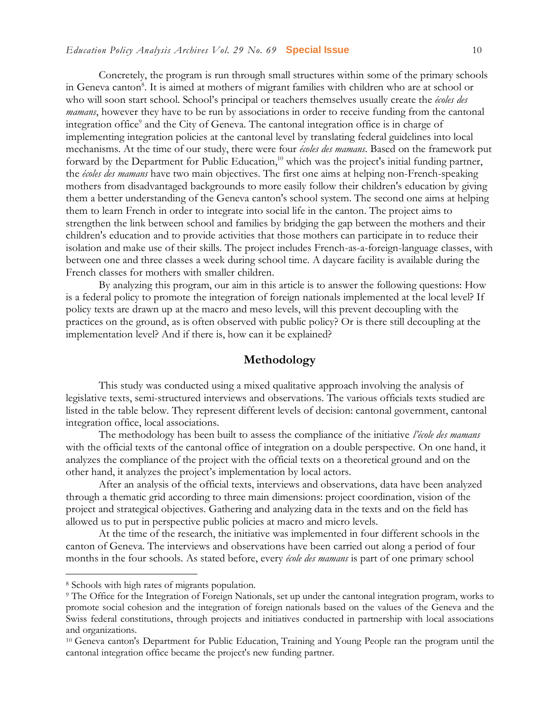Concretely, the program is run through small structures within some of the primary schools in Geneva canton<sup>8</sup>. It is aimed at mothers of migrant families with children who are at school or who will soon start school. School's principal or teachers themselves usually create the *écoles des mamans*, however they have to be run by associations in order to receive funding from the cantonal integration office<sup>9</sup> and the City of Geneva. The cantonal integration office is in charge of implementing integration policies at the cantonal level by translating federal guidelines into local mechanisms. At the time of our study, there were four *écoles des mamans*. Based on the framework put forward by the Department for Public Education,<sup>10</sup> which was the project's initial funding partner, the *écoles des mamans* have two main objectives. The first one aims at helping non-French-speaking mothers from disadvantaged backgrounds to more easily follow their children's education by giving them a better understanding of the Geneva canton's school system. The second one aims at helping them to learn French in order to integrate into social life in the canton. The project aims to strengthen the link between school and families by bridging the gap between the mothers and their children's education and to provide activities that those mothers can participate in to reduce their isolation and make use of their skills. The project includes French-as-a-foreign-language classes, with between one and three classes a week during school time. A daycare facility is available during the French classes for mothers with smaller children.

By analyzing this program, our aim in this article is to answer the following questions: How is a federal policy to promote the integration of foreign nationals implemented at the local level? If policy texts are drawn up at the macro and meso levels, will this prevent decoupling with the practices on the ground, as is often observed with public policy? Or is there still decoupling at the implementation level? And if there is, how can it be explained?

#### **Methodology**

This study was conducted using a mixed qualitative approach involving the analysis of legislative texts, semi-structured interviews and observations. The various officials texts studied are listed in the table below. They represent different levels of decision: cantonal government, cantonal integration office, local associations.

The methodology has been built to assess the compliance of the initiative *l'école des mamans* with the official texts of the cantonal office of integration on a double perspective. On one hand, it analyzes the compliance of the project with the official texts on a theoretical ground and on the other hand, it analyzes the project's implementation by local actors.

After an analysis of the official texts, interviews and observations, data have been analyzed through a thematic grid according to three main dimensions: project coordination, vision of the project and strategical objectives. Gathering and analyzing data in the texts and on the field has allowed us to put in perspective public policies at macro and micro levels.

At the time of the research, the initiative was implemented in four different schools in the canton of Geneva. The interviews and observations have been carried out along a period of four months in the four schools. As stated before, every *école des mamans* is part of one primary school

<sup>8</sup> Schools with high rates of migrants population.

<sup>9</sup> The Office for the Integration of Foreign Nationals, set up under the cantonal integration program, works to promote social cohesion and the integration of foreign nationals based on the values of the Geneva and the Swiss federal constitutions, through projects and initiatives conducted in partnership with local associations and organizations.

<sup>&</sup>lt;sup>10</sup> Geneva canton's Department for Public Education, Training and Young People ran the program until the cantonal integration office became the project's new funding partner.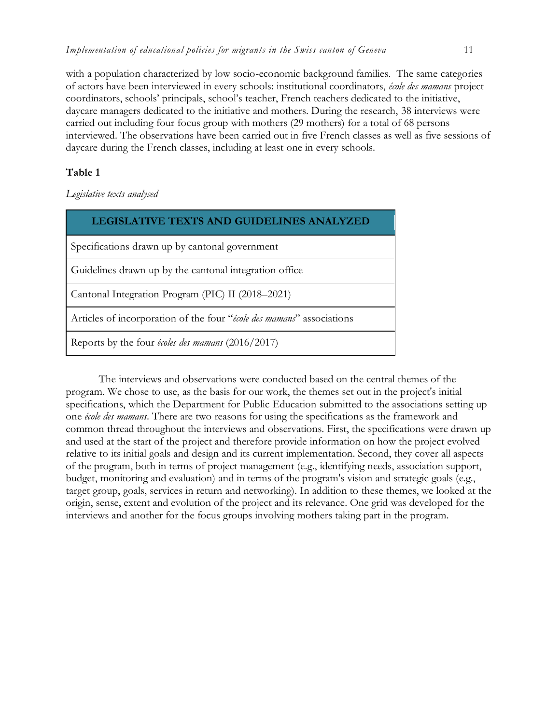with a population characterized by low socio-economic background families. The same categories of actors have been interviewed in every schools: institutional coordinators, *école des mamans* project coordinators, schools' principals, school's teacher, French teachers dedicated to the initiative, daycare managers dedicated to the initiative and mothers. During the research, 38 interviews were carried out including four focus group with mothers (29 mothers) for a total of 68 persons interviewed. The observations have been carried out in five French classes as well as five sessions of daycare during the French classes, including at least one in every schools.

#### **Table 1**

*Legislative texts analysed*

| LEGISLATIVE TEXTS AND GUIDELINES ANALYZED                             |
|-----------------------------------------------------------------------|
| Specifications drawn up by cantonal government                        |
| Guidelines drawn up by the cantonal integration office                |
| Cantonal Integration Program (PIC) II (2018–2021)                     |
| Articles of incorporation of the four "école des mamans" associations |
| Reports by the four écoles des mamans (2016/2017)                     |

The interviews and observations were conducted based on the central themes of the program. We chose to use, as the basis for our work, the themes set out in the project's initial specifications, which the Department for Public Education submitted to the associations setting up one *école des mamans*. There are two reasons for using the specifications as the framework and common thread throughout the interviews and observations. First, the specifications were drawn up and used at the start of the project and therefore provide information on how the project evolved relative to its initial goals and design and its current implementation. Second, they cover all aspects of the program, both in terms of project management (e.g., identifying needs, association support, budget, monitoring and evaluation) and in terms of the program's vision and strategic goals (e.g., target group, goals, services in return and networking). In addition to these themes, we looked at the origin, sense, extent and evolution of the project and its relevance. One grid was developed for the interviews and another for the focus groups involving mothers taking part in the program.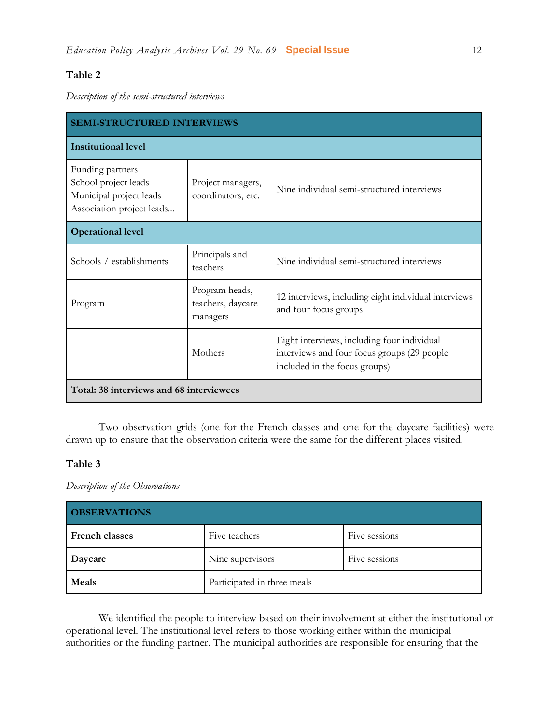#### **Table 2**

*Description of the semi-structured interviews*

| <b>SEMI-STRUCTURED INTERVIEWS</b>                                                                |                                                 |                                                                                                                             |  |  |
|--------------------------------------------------------------------------------------------------|-------------------------------------------------|-----------------------------------------------------------------------------------------------------------------------------|--|--|
| <b>Institutional level</b>                                                                       |                                                 |                                                                                                                             |  |  |
| Funding partners<br>School project leads<br>Municipal project leads<br>Association project leads | Project managers,<br>coordinators, etc.         | Nine individual semi-structured interviews                                                                                  |  |  |
| <b>Operational level</b>                                                                         |                                                 |                                                                                                                             |  |  |
| Schools / establishments                                                                         | Principals and<br>teachers                      | Nine individual semi-structured interviews                                                                                  |  |  |
| Program                                                                                          | Program heads,<br>teachers, daycare<br>managers | 12 interviews, including eight individual interviews<br>and four focus groups                                               |  |  |
|                                                                                                  | Mothers                                         | Eight interviews, including four individual<br>interviews and four focus groups (29 people<br>included in the focus groups) |  |  |
| Total: 38 interviews and 68 interviewees                                                         |                                                 |                                                                                                                             |  |  |

Two observation grids (one for the French classes and one for the daycare facilities) were drawn up to ensure that the observation criteria were the same for the different places visited.

#### **Table 3**

*Description of the Observations*

| <b>OBSERVATIONS</b> |                             |               |  |  |
|---------------------|-----------------------------|---------------|--|--|
| French classes      | Five teachers               | Five sessions |  |  |
| Daycare             | Nine supervisors            | Five sessions |  |  |
| Meals               | Participated in three meals |               |  |  |

We identified the people to interview based on their involvement at either the institutional or operational level. The institutional level refers to those working either within the municipal authorities or the funding partner. The municipal authorities are responsible for ensuring that the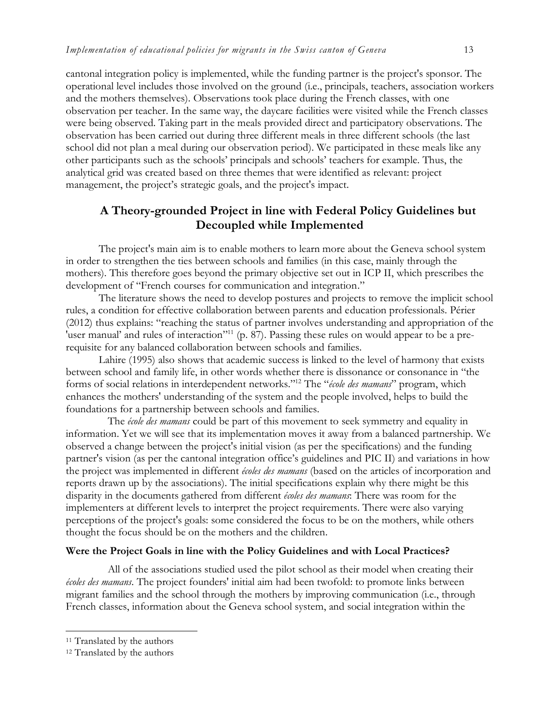cantonal integration policy is implemented, while the funding partner is the project's sponsor. The operational level includes those involved on the ground (i.e., principals, teachers, association workers and the mothers themselves). Observations took place during the French classes, with one observation per teacher. In the same way, the daycare facilities were visited while the French classes were being observed. Taking part in the meals provided direct and participatory observations. The observation has been carried out during three different meals in three different schools (the last school did not plan a meal during our observation period). We participated in these meals like any other participants such as the schools' principals and schools' teachers for example. Thus, the analytical grid was created based on three themes that were identified as relevant: project management, the project's strategic goals, and the project's impact.

## **A Theory-grounded Project in line with Federal Policy Guidelines but Decoupled while Implemented**

The project's main aim is to enable mothers to learn more about the Geneva school system in order to strengthen the ties between schools and families (in this case, mainly through the mothers). This therefore goes beyond the primary objective set out in ICP II, which prescribes the development of "French courses for communication and integration."

The literature shows the need to develop postures and projects to remove the implicit school rules, a condition for effective collaboration between parents and education professionals. Périer (2012) thus explains: "reaching the status of partner involves understanding and appropriation of the 'user manual' and rules of interaction'<sup>11</sup> (p. 87). Passing these rules on would appear to be a prerequisite for any balanced collaboration between schools and families.

 Lahire (1995) also shows that academic success is linked to the level of harmony that exists between school and family life, in other words whether there is dissonance or consonance in "the forms of social relations in interdependent networks." <sup>12</sup> The "*école des mamans*" program, which enhances the mothers' understanding of the system and the people involved, helps to build the foundations for a partnership between schools and families.

The *école des mamans* could be part of this movement to seek symmetry and equality in information. Yet we will see that its implementation moves it away from a balanced partnership. We observed a change between the project's initial vision (as per the specifications) and the funding partner's vision (as per the cantonal integration office's guidelines and PIC II) and variations in how the project was implemented in different *écoles des mamans* (based on the articles of incorporation and reports drawn up by the associations). The initial specifications explain why there might be this disparity in the documents gathered from different *écoles des mamans*: There was room for the implementers at different levels to interpret the project requirements. There were also varying perceptions of the project's goals: some considered the focus to be on the mothers, while others thought the focus should be on the mothers and the children.

#### **Were the Project Goals in line with the Policy Guidelines and with Local Practices?**

All of the associations studied used the pilot school as their model when creating their *écoles des mamans*. The project founders' initial aim had been twofold: to promote links between migrant families and the school through the mothers by improving communication (i.e., through French classes, information about the Geneva school system, and social integration within the

l

<sup>&</sup>lt;sup>11</sup> Translated by the authors

<sup>12</sup> Translated by the authors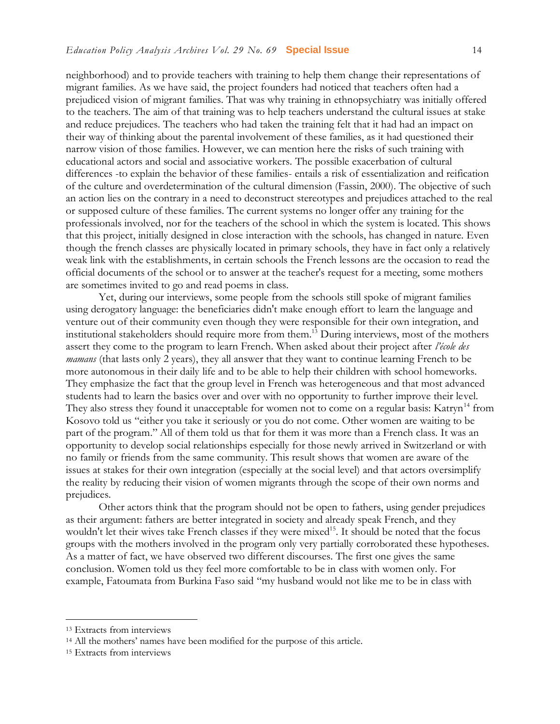neighborhood) and to provide teachers with training to help them change their representations of migrant families. As we have said, the project founders had noticed that teachers often had a prejudiced vision of migrant families. That was why training in ethnopsychiatry was initially offered to the teachers. The aim of that training was to help teachers understand the cultural issues at stake and reduce prejudices. The teachers who had taken the training felt that it had had an impact on their way of thinking about the parental involvement of these families, as it had questioned their narrow vision of those families. However, we can mention here the risks of such training with educational actors and social and associative workers. The possible exacerbation of cultural differences -to explain the behavior of these families- entails a risk of essentialization and reification of the culture and overdetermination of the cultural dimension (Fassin, 2000). The objective of such an action lies on the contrary in a need to deconstruct stereotypes and prejudices attached to the real or supposed culture of these families. The current systems no longer offer any training for the professionals involved, nor for the teachers of the school in which the system is located. This shows that this project, initially designed in close interaction with the schools, has changed in nature. Even though the french classes are physically located in primary schools, they have in fact only a relatively weak link with the establishments, in certain schools the French lessons are the occasion to read the official documents of the school or to answer at the teacher's request for a meeting, some mothers are sometimes invited to go and read poems in class.

Yet, during our interviews, some people from the schools still spoke of migrant families using derogatory language: the beneficiaries didn't make enough effort to learn the language and venture out of their community even though they were responsible for their own integration, and institutional stakeholders should require more from them. <sup>13</sup> During interviews, most of the mothers assert they come to the program to learn French. When asked about their project after *l'école des mamans* (that lasts only 2 years), they all answer that they want to continue learning French to be more autonomous in their daily life and to be able to help their children with school homeworks. They emphasize the fact that the group level in French was heterogeneous and that most advanced students had to learn the basics over and over with no opportunity to further improve their level. They also stress they found it unacceptable for women not to come on a regular basis: Katryn<sup>14</sup> from Kosovo told us "either you take it seriously or you do not come. Other women are waiting to be part of the program." All of them told us that for them it was more than a French class. It was an opportunity to develop social relationships especially for those newly arrived in Switzerland or with no family or friends from the same community. This result shows that women are aware of the issues at stakes for their own integration (especially at the social level) and that actors oversimplify the reality by reducing their vision of women migrants through the scope of their own norms and prejudices.

Other actors think that the program should not be open to fathers, using gender prejudices as their argument: fathers are better integrated in society and already speak French, and they wouldn't let their wives take French classes if they were mixed<sup>15</sup>. It should be noted that the focus groups with the mothers involved in the program only very partially corroborated these hypotheses. As a matter of fact, we have observed two different discourses. The first one gives the same conclusion. Women told us they feel more comfortable to be in class with women only. For example, Fatoumata from Burkina Faso said "my husband would not like me to be in class with

<sup>13</sup> Extracts from interviews

<sup>14</sup> All the mothers' names have been modified for the purpose of this article.

<sup>&</sup>lt;sup>15</sup> Extracts from interviews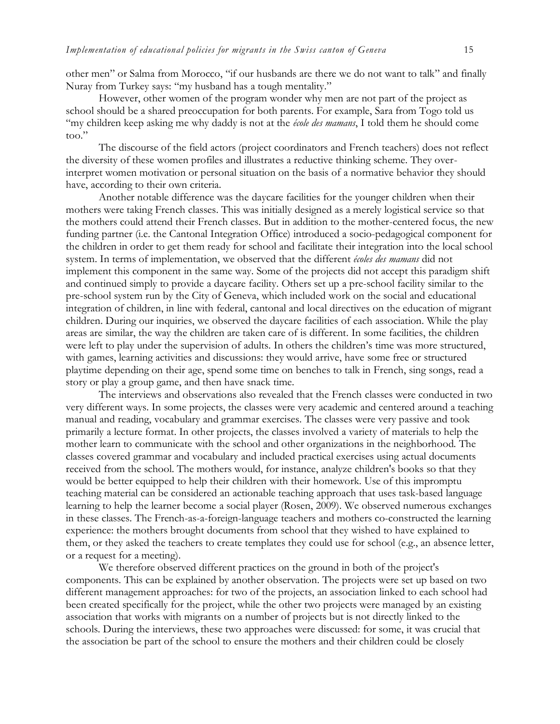other men" or Salma from Morocco, "if our husbands are there we do not want to talk" and finally Nuray from Turkey says: "my husband has a tough mentality."

However, other women of the program wonder why men are not part of the project as school should be a shared preoccupation for both parents. For example, Sara from Togo told us "my children keep asking me why daddy is not at the *école des mamans*, I told them he should come too."

The discourse of the field actors (project coordinators and French teachers) does not reflect the diversity of these women profiles and illustrates a reductive thinking scheme. They overinterpret women motivation or personal situation on the basis of a normative behavior they should have, according to their own criteria.

Another notable difference was the daycare facilities for the younger children when their mothers were taking French classes. This was initially designed as a merely logistical service so that the mothers could attend their French classes. But in addition to the mother-centered focus, the new funding partner (i.e. the Cantonal Integration Office) introduced a socio-pedagogical component for the children in order to get them ready for school and facilitate their integration into the local school system. In terms of implementation, we observed that the different *écoles des mamans* did not implement this component in the same way. Some of the projects did not accept this paradigm shift and continued simply to provide a daycare facility. Others set up a pre-school facility similar to the pre-school system run by the City of Geneva, which included work on the social and educational integration of children, in line with federal, cantonal and local directives on the education of migrant children. During our inquiries, we observed the daycare facilities of each association. While the play areas are similar, the way the children are taken care of is different. In some facilities, the children were left to play under the supervision of adults. In others the children's time was more structured, with games, learning activities and discussions: they would arrive, have some free or structured playtime depending on their age, spend some time on benches to talk in French, sing songs, read a story or play a group game, and then have snack time.

The interviews and observations also revealed that the French classes were conducted in two very different ways. In some projects, the classes were very academic and centered around a teaching manual and reading, vocabulary and grammar exercises. The classes were very passive and took primarily a lecture format. In other projects, the classes involved a variety of materials to help the mother learn to communicate with the school and other organizations in the neighborhood. The classes covered grammar and vocabulary and included practical exercises using actual documents received from the school. The mothers would, for instance, analyze children's books so that they would be better equipped to help their children with their homework. Use of this impromptu teaching material can be considered an actionable teaching approach that uses task-based language learning to help the learner become a social player (Rosen, 2009). We observed numerous exchanges in these classes. The French-as-a-foreign-language teachers and mothers co-constructed the learning experience: the mothers brought documents from school that they wished to have explained to them, or they asked the teachers to create templates they could use for school (e.g., an absence letter, or a request for a meeting).

We therefore observed different practices on the ground in both of the project's components. This can be explained by another observation. The projects were set up based on two different management approaches: for two of the projects, an association linked to each school had been created specifically for the project, while the other two projects were managed by an existing association that works with migrants on a number of projects but is not directly linked to the schools. During the interviews, these two approaches were discussed: for some, it was crucial that the association be part of the school to ensure the mothers and their children could be closely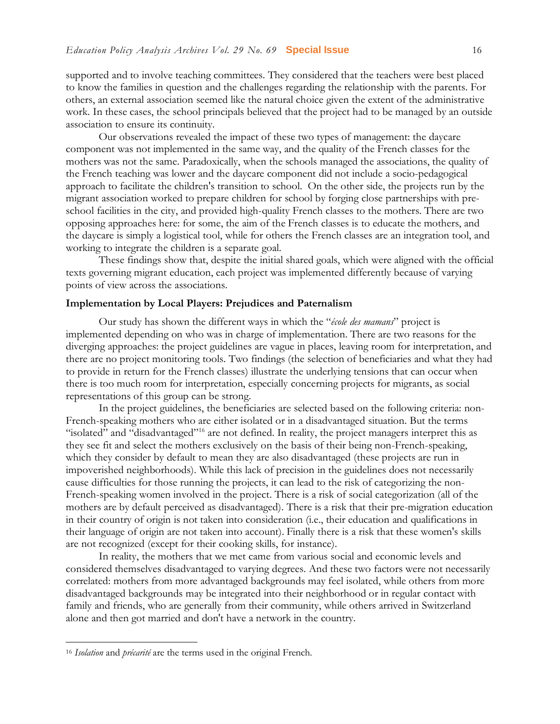supported and to involve teaching committees. They considered that the teachers were best placed to know the families in question and the challenges regarding the relationship with the parents. For others, an external association seemed like the natural choice given the extent of the administrative work. In these cases, the school principals believed that the project had to be managed by an outside association to ensure its continuity.

Our observations revealed the impact of these two types of management: the daycare component was not implemented in the same way, and the quality of the French classes for the mothers was not the same. Paradoxically, when the schools managed the associations, the quality of the French teaching was lower and the daycare component did not include a socio-pedagogical approach to facilitate the children's transition to school. On the other side, the projects run by the migrant association worked to prepare children for school by forging close partnerships with preschool facilities in the city, and provided high-quality French classes to the mothers. There are two opposing approaches here: for some, the aim of the French classes is to educate the mothers, and the daycare is simply a logistical tool, while for others the French classes are an integration tool, and working to integrate the children is a separate goal.

These findings show that, despite the initial shared goals, which were aligned with the official texts governing migrant education, each project was implemented differently because of varying points of view across the associations.

#### **Implementation by Local Players: Prejudices and Paternalism**

Our study has shown the different ways in which the "*école des mamans*" project is implemented depending on who was in charge of implementation. There are two reasons for the diverging approaches: the project guidelines are vague in places, leaving room for interpretation, and there are no project monitoring tools. Two findings (the selection of beneficiaries and what they had to provide in return for the French classes) illustrate the underlying tensions that can occur when there is too much room for interpretation, especially concerning projects for migrants, as social representations of this group can be strong.

In the project guidelines, the beneficiaries are selected based on the following criteria: non-French-speaking mothers who are either isolated or in a disadvantaged situation. But the terms "isolated" and "disadvantaged"<sup>16</sup> are not defined. In reality, the project managers interpret this as they see fit and select the mothers exclusively on the basis of their being non-French-speaking, which they consider by default to mean they are also disadvantaged (these projects are run in impoverished neighborhoods). While this lack of precision in the guidelines does not necessarily cause difficulties for those running the projects, it can lead to the risk of categorizing the non-French-speaking women involved in the project. There is a risk of social categorization (all of the mothers are by default perceived as disadvantaged). There is a risk that their pre-migration education in their country of origin is not taken into consideration (i.e., their education and qualifications in their language of origin are not taken into account). Finally there is a risk that these women's skills are not recognized (except for their cooking skills, for instance).

In reality, the mothers that we met came from various social and economic levels and considered themselves disadvantaged to varying degrees. And these two factors were not necessarily correlated: mothers from more advantaged backgrounds may feel isolated, while others from more disadvantaged backgrounds may be integrated into their neighborhood or in regular contact with family and friends, who are generally from their community, while others arrived in Switzerland alone and then got married and don't have a network in the country.

<sup>16</sup> *Isolation* and *précarité* are the terms used in the original French.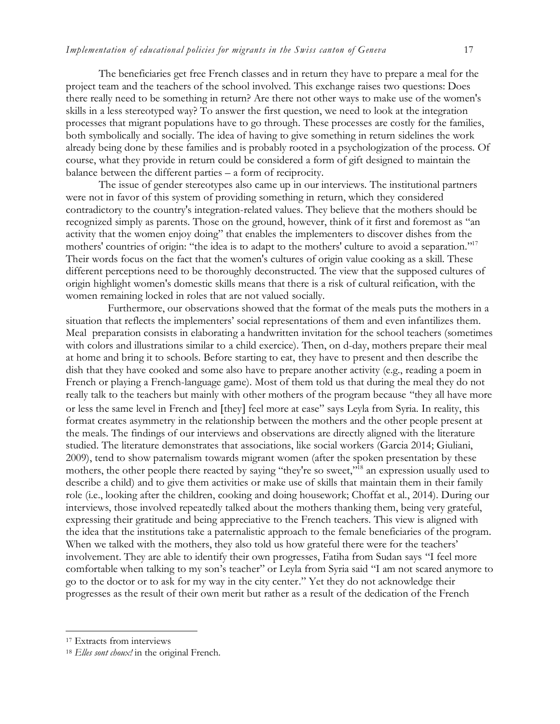The beneficiaries get free French classes and in return they have to prepare a meal for the project team and the teachers of the school involved. This exchange raises two questions: Does there really need to be something in return? Are there not other ways to make use of the women's skills in a less stereotyped way? To answer the first question, we need to look at the integration processes that migrant populations have to go through. These processes are costly for the families, both symbolically and socially. The idea of having to give something in return sidelines the work already being done by these families and is probably rooted in a psychologization of the process. Of course, what they provide in return could be considered a form of gift designed to maintain the balance between the different parties – a form of reciprocity.

The issue of gender stereotypes also came up in our interviews. The institutional partners were not in favor of this system of providing something in return, which they considered contradictory to the country's integration-related values. They believe that the mothers should be recognized simply as parents. Those on the ground, however, think of it first and foremost as "an activity that the women enjoy doing" that enables the implementers to discover dishes from the mothers' countries of origin: "the idea is to adapt to the mothers' culture to avoid a separation."<sup>17</sup> Their words focus on the fact that the women's cultures of origin value cooking as a skill. These different perceptions need to be thoroughly deconstructed. The view that the supposed cultures of origin highlight women's domestic skills means that there is a risk of cultural reification, with the women remaining locked in roles that are not valued socially.

Furthermore, our observations showed that the format of the meals puts the mothers in a situation that reflects the implementers' social representations of them and even infantilizes them. Meal preparation consists in elaborating a handwritten invitation for the school teachers (sometimes with colors and illustrations similar to a child exercice). Then, on d-day, mothers prepare their meal at home and bring it to schools. Before starting to eat, they have to present and then describe the dish that they have cooked and some also have to prepare another activity (e.g., reading a poem in French or playing a French-language game). Most of them told us that during the meal they do not really talk to the teachers but mainly with other mothers of the program because "they all have more or less the same level in French and [they] feel more at ease" says Leyla from Syria. In reality, this format creates asymmetry in the relationship between the mothers and the other people present at the meals. The findings of our interviews and observations are directly aligned with the literature studied. The literature demonstrates that associations, like social workers (Garcia 2014; Giuliani, 2009), tend to show paternalism towards migrant women (after the spoken presentation by these mothers, the other people there reacted by saying "they're so sweet,"<sup>18</sup> an expression usually used to describe a child) and to give them activities or make use of skills that maintain them in their family role (i.e., looking after the children, cooking and doing housework; Choffat et al., 2014). During our interviews, those involved repeatedly talked about the mothers thanking them, being very grateful, expressing their gratitude and being appreciative to the French teachers. This view is aligned with the idea that the institutions take a paternalistic approach to the female beneficiaries of the program. When we talked with the mothers, they also told us how grateful there were for the teachers' involvement. They are able to identify their own progresses, Fatiha from Sudan says "I feel more comfortable when talking to my son's teacher" or Leyla from Syria said "I am not scared anymore to go to the doctor or to ask for my way in the city center." Yet they do not acknowledge their progresses as the result of their own merit but rather as a result of the dedication of the French

l

<sup>17</sup> Extracts from interviews

<sup>18</sup> *Elles sont choux!* in the original French.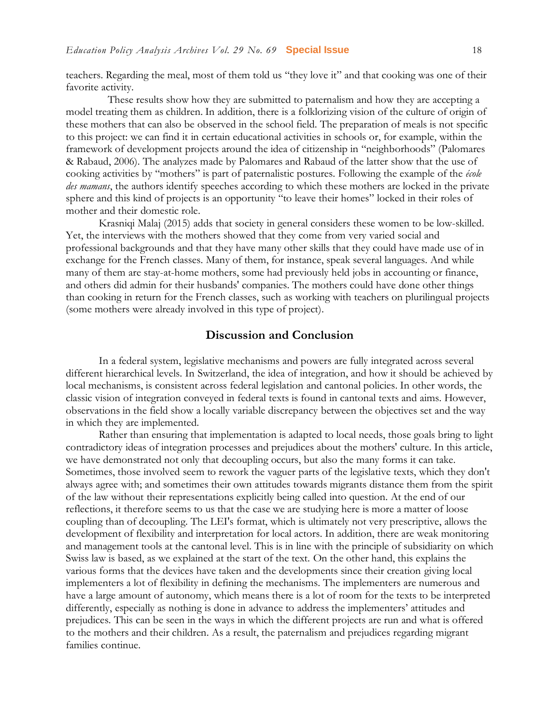teachers. Regarding the meal, most of them told us "they love it" and that cooking was one of their favorite activity.

These results show how they are submitted to paternalism and how they are accepting a model treating them as children. In addition, there is a folklorizing vision of the culture of origin of these mothers that can also be observed in the school field. The preparation of meals is not specific to this project: we can find it in certain educational activities in schools or, for example, within the framework of development projects around the idea of citizenship in "neighborhoods" (Palomares & Rabaud, 2006). The analyzes made by Palomares and Rabaud of the latter show that the use of cooking activities by "mothers" is part of paternalistic postures. Following the example of the *école des mamans*, the authors identify speeches according to which these mothers are locked in the private sphere and this kind of projects is an opportunity "to leave their homes" locked in their roles of mother and their domestic role.

Krasniqi Malaj (2015) adds that society in general considers these women to be low-skilled. Yet, the interviews with the mothers showed that they come from very varied social and professional backgrounds and that they have many other skills that they could have made use of in exchange for the French classes. Many of them, for instance, speak several languages. And while many of them are stay-at-home mothers, some had previously held jobs in accounting or finance, and others did admin for their husbands' companies. The mothers could have done other things than cooking in return for the French classes, such as working with teachers on plurilingual projects (some mothers were already involved in this type of project).

#### **Discussion and Conclusion**

In a federal system, legislative mechanisms and powers are fully integrated across several different hierarchical levels. In Switzerland, the idea of integration, and how it should be achieved by local mechanisms, is consistent across federal legislation and cantonal policies. In other words, the classic vision of integration conveyed in federal texts is found in cantonal texts and aims. However, observations in the field show a locally variable discrepancy between the objectives set and the way in which they are implemented.

Rather than ensuring that implementation is adapted to local needs, those goals bring to light contradictory ideas of integration processes and prejudices about the mothers' culture. In this article, we have demonstrated not only that decoupling occurs, but also the many forms it can take. Sometimes, those involved seem to rework the vaguer parts of the legislative texts, which they don't always agree with; and sometimes their own attitudes towards migrants distance them from the spirit of the law without their representations explicitly being called into question. At the end of our reflections, it therefore seems to us that the case we are studying here is more a matter of loose coupling than of decoupling. The LEI's format, which is ultimately not very prescriptive, allows the development of flexibility and interpretation for local actors. In addition, there are weak monitoring and management tools at the cantonal level. This is in line with the principle of subsidiarity on which Swiss law is based, as we explained at the start of the text. On the other hand, this explains the various forms that the devices have taken and the developments since their creation giving local implementers a lot of flexibility in defining the mechanisms. The implementers are numerous and have a large amount of autonomy, which means there is a lot of room for the texts to be interpreted differently, especially as nothing is done in advance to address the implementers' attitudes and prejudices. This can be seen in the ways in which the different projects are run and what is offered to the mothers and their children. As a result, the paternalism and prejudices regarding migrant families continue.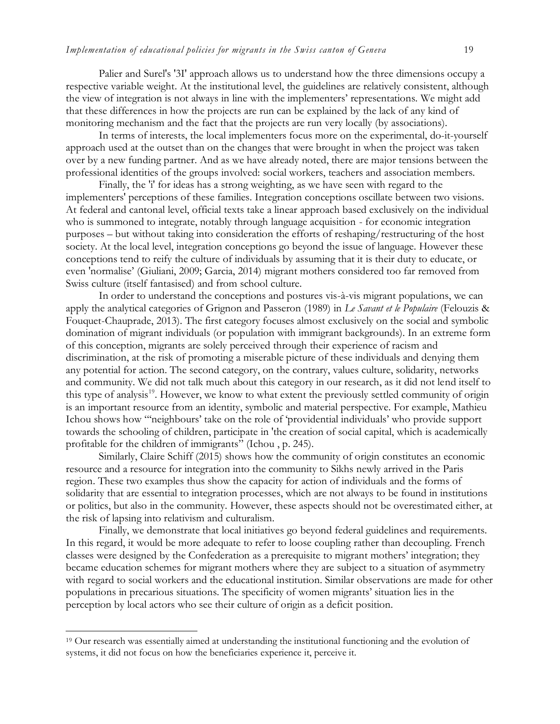Palier and Surel's '3I' approach allows us to understand how the three dimensions occupy a respective variable weight. At the institutional level, the guidelines are relatively consistent, although the view of integration is not always in line with the implementers' representations. We might add that these differences in how the projects are run can be explained by the lack of any kind of monitoring mechanism and the fact that the projects are run very locally (by associations).

In terms of interests, the local implementers focus more on the experimental, do-it-yourself approach used at the outset than on the changes that were brought in when the project was taken over by a new funding partner. And as we have already noted, there are major tensions between the professional identities of the groups involved: social workers, teachers and association members.

Finally, the 'i' for ideas has a strong weighting, as we have seen with regard to the implementers' perceptions of these families. Integration conceptions oscillate between two visions. At federal and cantonal level, official texts take a linear approach based exclusively on the individual who is summoned to integrate, notably through language acquisition - for economic integration purposes – but without taking into consideration the efforts of reshaping/restructuring of the host society. At the local level, integration conceptions go beyond the issue of language. However these conceptions tend to reify the culture of individuals by assuming that it is their duty to educate, or even 'normalise' (Giuliani, 2009; Garcia, 2014) migrant mothers considered too far removed from Swiss culture (itself fantasised) and from school culture.

In order to understand the conceptions and postures vis-à-vis migrant populations, we can apply the analytical categories of Grignon and Passeron (1989) in *Le Savant et le Populaire* (Felouzis & Fouquet-Chauprade, 2013). The first category focuses almost exclusively on the social and symbolic domination of migrant individuals (or population with immigrant backgrounds). In an extreme form of this conception, migrants are solely perceived through their experience of racism and discrimination, at the risk of promoting a miserable picture of these individuals and denying them any potential for action. The second category, on the contrary, values culture, solidarity, networks and community. We did not talk much about this category in our research, as it did not lend itself to this type of analysis<sup>19</sup>. However, we know to what extent the previously settled community of origin is an important resource from an identity, symbolic and material perspective. For example, Mathieu Ichou shows how "'neighbours' take on the role of 'providential individuals' who provide support towards the schooling of children, participate in 'the creation of social capital, which is academically profitable for the children of immigrants" (Ichou , p. 245).

Similarly, Claire Schiff (2015) shows how the community of origin constitutes an economic resource and a resource for integration into the community to Sikhs newly arrived in the Paris region. These two examples thus show the capacity for action of individuals and the forms of solidarity that are essential to integration processes, which are not always to be found in institutions or politics, but also in the community. However, these aspects should not be overestimated either, at the risk of lapsing into relativism and culturalism.

Finally, we demonstrate that local initiatives go beyond federal guidelines and requirements. In this regard, it would be more adequate to refer to loose coupling rather than decoupling. French classes were designed by the Confederation as a prerequisite to migrant mothers' integration; they became education schemes for migrant mothers where they are subject to a situation of asymmetry with regard to social workers and the educational institution. Similar observations are made for other populations in precarious situations. The specificity of women migrants' situation lies in the perception by local actors who see their culture of origin as a deficit position.

l

<sup>19</sup> Our research was essentially aimed at understanding the institutional functioning and the evolution of systems, it did not focus on how the beneficiaries experience it, perceive it.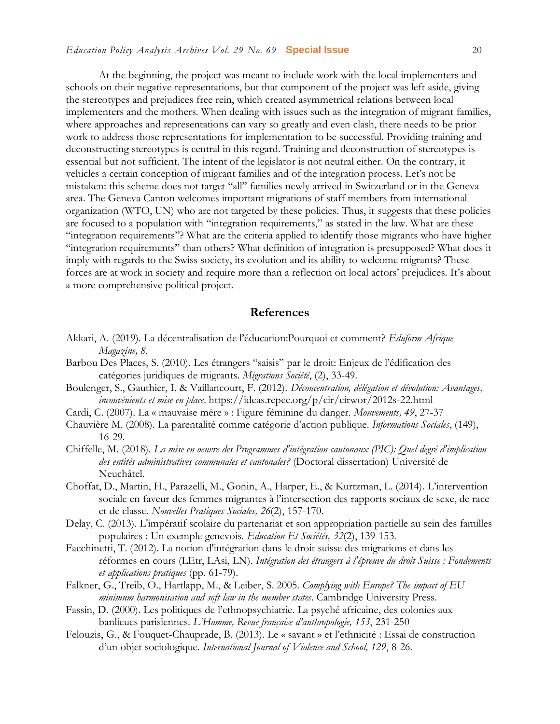#### *Education Policy Analysis Archives Vol. 29 No. 69* **Special Issue** 20

At the beginning, the project was meant to include work with the local implementers and schools on their negative representations, but that component of the project was left aside, giving the stereotypes and prejudices free rein, which created asymmetrical relations between local implementers and the mothers. When dealing with issues such as the integration of migrant families, where approaches and representations can vary so greatly and even clash, there needs to be prior work to address those representations for implementation to be successful. Providing training and deconstructing stereotypes is central in this regard. Training and deconstruction of stereotypes is essential but not sufficient. The intent of the legislator is not neutral either. On the contrary, it vehicles a certain conception of migrant families and of the integration process. Let's not be mistaken: this scheme does not target "all" families newly arrived in Switzerland or in the Geneva area. The Geneva Canton welcomes important migrations of staff members from international organization (WTO, UN) who are not targeted by these policies. Thus, it suggests that these policies are focused to a population with "integration requirements," as stated in the law. What are these "integration requirements"? What are the criteria applied to identify those migrants who have higher "integration requirements" than others? What definition of integration is presupposed? What does it imply with regards to the Swiss society, its evolution and its ability to welcome migrants? These forces are at work in society and require more than a reflection on local actors' prejudices. It's about a more comprehensive political project.

#### **References**

- Akkari, A. (2019). La décentralisation de l'éducation:Pourquoi et comment? *Eduform Afrique Magazine, 8.*
- Barbou Des Places, S. (2010). Les étrangers "saisis" par le droit: Enjeux de l'édification des catégories juridiques de migrants. *Migrations Société*, (2), 33-49.
- Boulenger, S., Gauthier, I. & Vaillancourt, F. (2012). *Déconcentration, délégation et dévolution: Avantages, inconvénients et mise en place*.<https://ideas.repec.org/p/cir/cirwor/2012s-22.html>
- Cardi, C. (2007). La « mauvaise mère » : Figure féminine du danger. *Mouvements, 49*, 27-37
- Chauvière M. (2008). La parentalité comme catégorie d'action publique. *Informations Sociales*, (149), 16-29.
- Chiffelle, M. (2018). *La mise en oeuvre des Programmes d'intégration cantonaux (PIC): Quel degré d'implication des entités administratives communales et cantonales?* (Doctoral dissertation) Université de Neuchâtel.
- Choffat, D., Martin, H., Parazelli, M., Gonin, A., Harper, E., & Kurtzman, L. (2014). L'intervention sociale en faveur des femmes migrantes à l'intersection des rapports sociaux de sexe, de race et de classe. *Nouvelles Pratiques Sociales, 26*(2), 157-170.
- Delay, C. (2013). L'impératif scolaire du partenariat et son appropriation partielle au sein des familles populaires : Un exemple genevois. *Education Et Sociétés, 32*(2), 139-153.
- Facchinetti, T. (2012). La notion d'intégration dans le droit suisse des migrations et dans les réformes en cours (LEtr, LAsi, LN). *Intégration des étrangers à l'épreuve du droit Suisse : Fondements et applications pratiques* (pp. 61-79).
- Falkner, G., Treib, O., Hartlapp, M., & Leiber, S. 2005. *Complying with Europe? The impact of EU minimum harmonisation and soft law in the member states*. Cambridge University Press.
- Fassin, D. (2000). Les politiques de l'ethnopsychiatrie. La psyché africaine, des colonies aux banlieues parisiennes. *L'Homme, Revue française d'anthropologie, 153*, 231-250
- Felouzis, G., & Fouquet-Chauprade, B. (2013). Le « savant » et l'ethnicité : Essai de construction d'un objet sociologique. *International Journal of Violence and School, 129*, 8-26.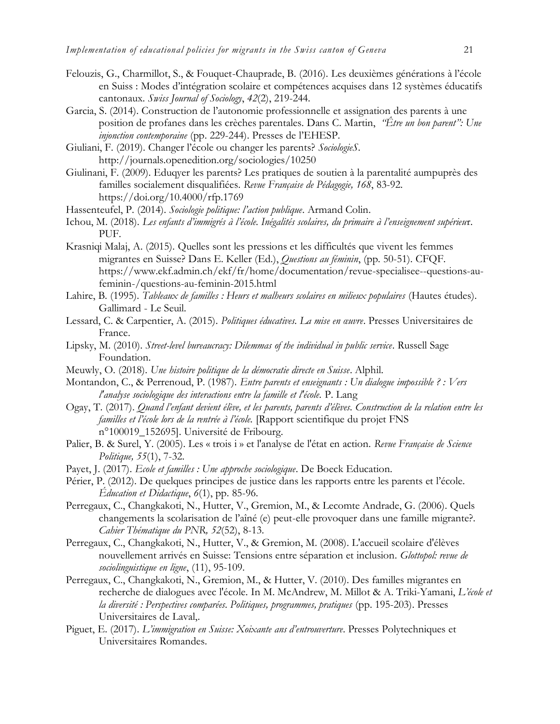- Felouzis, G., Charmillot, S., & Fouquet-Chauprade, B. (2016). Les deuxièmes générations à l'école en Suiss : Modes d'intégration scolaire et compétences acquises dans 12 systèmes éducatifs cantonaux. *Swiss Journal of Sociology*, *42*(2), 219-244.
- Garcia, S. (2014). Construction de l'autonomie professionnelle et assignation des parents à une position de profanes dans les crèches parentales. Dans C. Martin, *"Être un bon parent": Une injonction contemporaine* (pp. 229-244). Presses de l'EHESP.
- Giuliani, F. (2019). Changer l'école ou changer les parents? *SociologieS*. http://journals.openedition.org/sociologies/10250
- Giulinani, F. (2009). Eduqyer les parents? Les pratiques de soutien à la parentalité aumpuprès des familles socialement disqualifiées. *Revue Française de Pédagogie, 168*, 83-92. <https://doi.org/10.4000/rfp.1769>
- Hassenteufel, P. (2014). *Sociologie politique: l'action publique*. Armand Colin.
- Ichou, M. (2018). *Les enfants d'immigrés à l'école. Inégalités scolaires, du primaire à l'enseignement supérieu*r. PUF.
- Krasniqi Malaj, A. (2015). Quelles sont les pressions et les difficultés que vivent les femmes migrantes en Suisse? Dans E. Keller (Ed.), *Questions au féminin*, (pp. 50-51). CFQF. https://www.ekf.admin.ch/ekf/fr/home/documentation/revue-specialisee--questions-aufeminin-/questions-au-feminin-2015.html
- Lahire, B. (1995). *Tableaux de familles : Heurs et malheurs scolaires en milieux populaires* (Hautes études). Gallimard - Le Seuil.
- Lessard, C. & Carpentier, A. (2015). *Politiques éducatives. La mise en œuvre*. Presses Universitaires de France.
- Lipsky, M. (2010). *Street-level bureaucracy: Dilemmas of the individual in public service*. Russell Sage Foundation.
- Meuwly, O. (2018). *Une histoire politique de la démocratie directe en Suisse*. Alphil.
- Montandon, C., & Perrenoud, P. (1987). *Entre parents et enseignants : Un dialogue impossible ? : Vers l'analyse sociologique des interactions entre la famille et l'école.* P. Lang
- Ogay, T. (2017). *Quand l'enfant devient élève, et les parents, parents d'élèves. Construction de la relation entre les familles et l'école lors de la rentrée à l'école.* [Rapport scientifique du projet FNS n°100019\_152695]. Université de Fribourg.
- Palier, B. & Surel, Y. (2005). Les « trois i » et l'analyse de l'état en action. *Revue Française de Science Politique, 55*(1), 7-32.
- Payet, J. (2017). *Ecole et familles : Une approche sociologique*. De Boeck Education.
- Périer, P. (2012). De quelques principes de justice dans les rapports entre les parents et l'école. *Éducation et Didactique*, *6*(1), pp. 85-96.
- Perregaux, C., Changkakoti, N., Hutter, V., Gremion, M., & Lecomte Andrade, G. (2006). Quels changements la scolarisation de l'aîné (e) peut-elle provoquer dans une famille migrante?. *Cahier Thématique du PNR, 52*(52), 8-13.
- Perregaux, C., Changkakoti, N., Hutter, V., & Gremion, M. (2008). L'accueil scolaire d'élèves nouvellement arrivés en Suisse: Tensions entre séparation et inclusion. *Glottopol: revue de sociolinguistique en ligne*, (11), 95-109.
- Perregaux, C., Changkakoti, N., Gremion, M., & Hutter, V. (2010). Des familles migrantes en recherche de dialogues avec l'école. In M. McAndrew, M. Millot & A. Triki-Yamani, *L'école et la diversité : Perspectives comparées. Politiques, programmes, pratiques* (pp. 195-203). Presses Universitaires de Laval,.
- Piguet, E. (2017). *L'immigration en Suisse: Xoixante ans d'entrouverture*. Presses Polytechniques et Universitaires Romandes.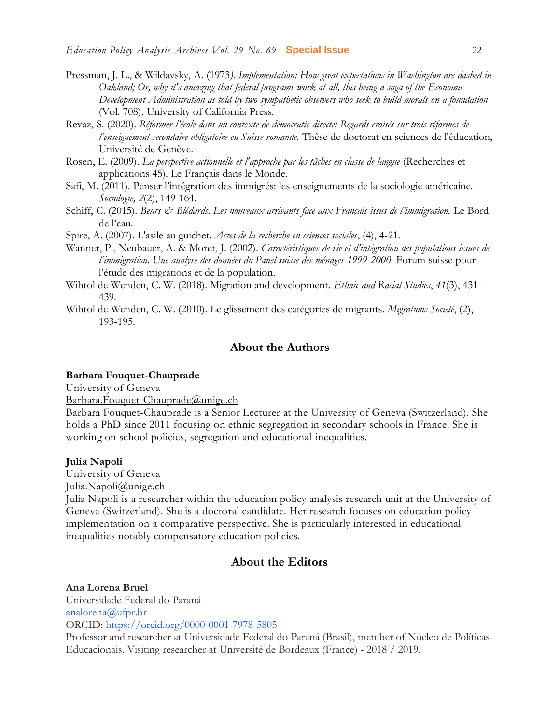- Pressman, J. L., & Wildavsky, A. (1973*). Implementation: How great expectations in Washington are dashed in Oakland; Or, why it's amazing that federal programs work at all, this being a saga of the Economic Development Administration as told by two sympathetic observers who seek to build morals on a foundation* (Vol. 708). University of California Press.
- Revaz, S. (2020). *Réformer l'école dans un contexte de démocratie directe: Regards croisés sur trois réformes de l'enseignement secondaire obligatoire en Suisse romande*. Thèse de doctorat en sciences de l'éducation, Université de Genève.
- Rosen, E. (2009). *La perspective actionnelle et l'approche par les tâches en classe de langue* (Recherches et applications 45). Le Français dans le Monde.
- Safi, M. (2011). Penser l'intégration des immigrés: les enseignements de la sociologie américaine. *Sociologie, 2*(2), 149-164.
- Schiff, C. (2015). *Beurs & Blédards. Les nouveaux arrivants face aux Français issus de l'immigration*. Le Bord de l'eau.
- Spire, A. (2007). L'asile au guichet. *Actes de la recherche en sciences sociales*, (4), 4-21.
- Wanner, P., Neubauer, A. & Moret, J. (2002). *Caractéristiques de vie et d'intégration des populations issues de l'immigration. Une analyse des données du Panel suisse des ménages 1999-2000.* Forum suisse pour l'étude des migrations et de la population.
- Wihtol de Wenden, C. W. (2018). Migration and development. *Ethnic and Racial Studies*, *41*(3), 431- 439.
- Wihtol de Wenden, C. W. (2010). Le glissement des catégories de migrants. *Migrations Société*, (2), 193-195.

#### **About the Authors**

#### **Barbara Fouquet-Chauprade**

University of Geneva

[Barbara.Fouquet-Chauprade@unige.ch](mailto:Barbara.Fouquet-Chauprade@unige.ch)

Barbara Fouquet-Chauprade is a Senior Lecturer at the University of Geneva (Switzerland). She holds a PhD since 2011 focusing on ethnic segregation in secondary schools in France. She is working on school policies, segregation and educational inequalities.

#### **Julia Napoli**

University of Geneva

[Julia.Napoli@unige.ch](mailto:Julia.Napoli@unige.ch)

Julia Napoli is a researcher within the education policy analysis research unit at the University of Geneva (Switzerland). She is a doctoral candidate. Her research focuses on education policy implementation on a comparative perspective. She is particularly interested in educational inequalities notably compensatory education policies.

#### **About the Editors**

**Ana Lorena Bruel**

Universidade Federal do Paraná [analorena@ufpr.br](mailto:analorena@ufpr.br)

ORCID: <https://orcid.org/0000-0001-7978-5805>

Professor and researcher at Universidade Federal do Paraná (Brasil), member of Núcleo de Políticas Educacionais. Visiting researcher at Université de Bordeaux (France) - 2018 / 2019.